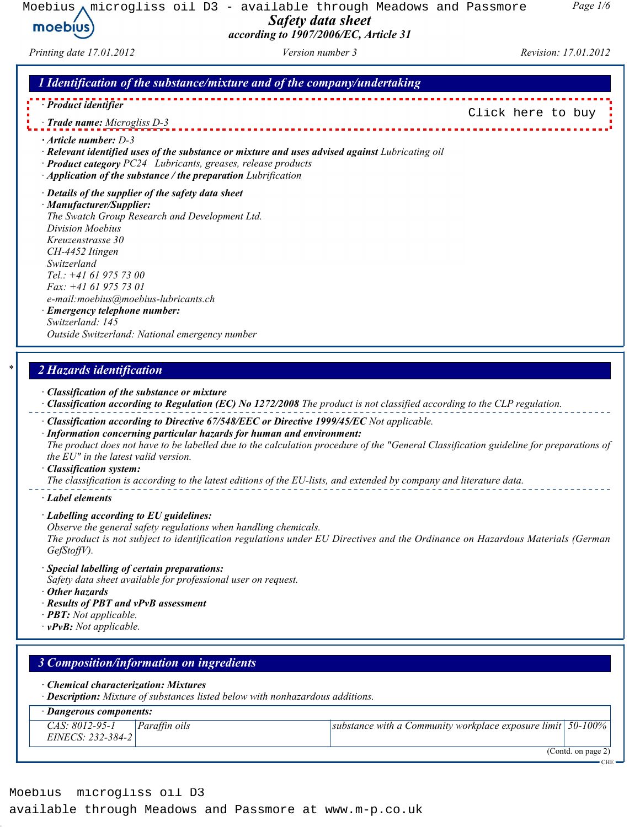Moebius  $\bigwedge$  microgliss oil D3 - available through Meadows and Passmore Safety data sheet moebius according to 1907/2006/EC, Article 31

Page 1/6

[Click here to buy](http://www.m-p.co.uk/muk/parts/chap10/moebius-high-pressure-oil-20ml-1079000115.htm)

## Printing date 17.01.2012 Version number 3 Revision: 17.01.2012

## 1 Identification of the substance/mixture and of the company/undertaking

- · Product identifier
- · Trade name: Microgliss D-3
- · Article number: D-3
- · Relevant identified uses of the substance or mixture and uses advised against Lubricating oil
- · Product category PC24 Lubricants, greases, release products
- · Application of the substance / the preparation Lubrification
- · Details of the supplier of the safety data sheet

· Manufacturer/Supplier: The Swatch Group Research and Development Ltd. Division Moebius Kreuzenstrasse 30 CH-4452 Itingen Switzerland Tel.: +41 61 975 73 00 Fax: +41 61 975 73 01 e-mail:moebius@moebius-lubricants.ch · Emergency telephone number: Switzerland: 145

Outside Switzerland: National emergency number

## 2 Hazards identification

- · Classification of the substance or mixture
- · Classification according to Regulation (EC) No 1272/2008 The product is not classified according to the CLP regulation.
- · Classification according to Directive 67/548/EEC or Directive 1999/45/EC Not applicable.
- · Information concerning particular hazards for human and environment: The product does not have to be labelled due to the calculation procedure of the "General Classification guideline for preparations of the EU" in the latest valid version.

### · Classification system:

The classification is according to the latest editions of the EU-lists, and extended by company and literature data.

· Label elements

- · Labelling according to EU guidelines:
- Observe the general safety regulations when handling chemicals.

The product is not subject to identification regulations under EU Directives and the Ordinance on Hazardous Materials (German GefStoffV).

- · Special labelling of certain preparations:
- Safety data sheet available for professional user on request.
- · Other hazards
- · Results of PBT and vPvB assessment
- $\cdot$  **PBT:** Not applicable.
- $\cdot$  vPvB: Not applicable.

## 3 Composition/information on ingredients · Chemical characterization: Mixtures · Description: Mixture of substances listed below with nonhazardous additions. · Dangerous components: CAS: 8012-95-1 EINECS: 232-384-2 Paraffin oils substance with a Community workplace exposure limit 50-100% (Contd. on page 2) **CHE**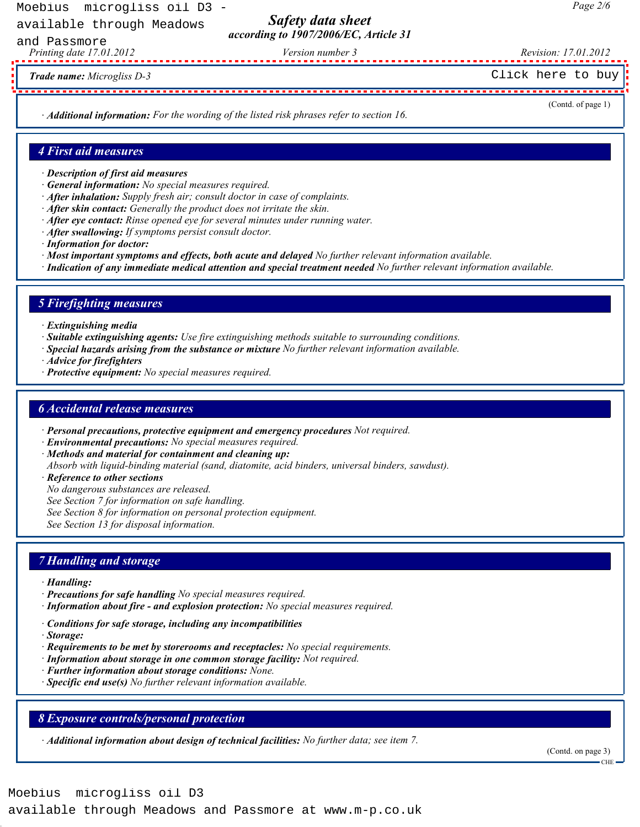Moebius microgliss oil D3 -

available through Meadows

Safety data sheet according to 1907/2006/EC, Article 31

Printing date 17.01.2012 Version number 3 Revision: 17.01.2012 and Passmore

Trade name: Microgliss D-3

· Additional information: For the wording of the listed risk phrases refer to section 16.

## (Contd. of page 1)

Page 2/6

### 4 First aid measures

- · Description of first aid measures
- · General information: No special measures required.
- · After inhalation: Supply fresh air; consult doctor in case of complaints.
- $\cdot$  After skin contact: Generally the product does not irritate the skin.
- $\cdot$  After eve contact: Rinse opened eve for several minutes under running water.
- · After swallowing: If symptoms persist consult doctor.
- · Information for doctor:
- · Most important symptoms and effects, both acute and delayed No further relevant information available.
- · Indication of any immediate medical attention and special treatment needed No further relevant information available.

## 5 Firefighting measures

- · Extinguishing media
- · Suitable extinguishing agents: Use fire extinguishing methods suitable to surrounding conditions.
- · Special hazards arising from the substance or mixture No further relevant information available.
- · Advice for firefighters
- · Protective equipment: No special measures required.

## 6 Accidental release measures

- · Personal precautions, protective equipment and emergency procedures Not required.
- · Environmental precautions: No special measures required.
- · Methods and material for containment and cleaning up:
- Absorb with liquid-binding material (sand, diatomite, acid binders, universal binders, sawdust).
- · Reference to other sections
- No dangerous substances are released.
- See Section 7 for information on safe handling.
- See Section 8 for information on personal protection equipment.

See Section 13 for disposal information.

## 7 Handling and storage

- · Handling:
- · Precautions for safe handling No special measures required.
- · Information about fire and explosion protection: No special measures required.
- · Conditions for safe storage, including any incompatibilities
- · Storage:
- · Requirements to be met by storerooms and receptacles: No special requirements.
- · Information about storage in one common storage facility: Not required.
- · Further information about storage conditions: None.
- · Specific end use(s) No further relevant information available.

## 8 Exposure controls/personal protection

· Additional information about design of technical facilities: No further data; see item 7.

(Contd. on page 3) CHE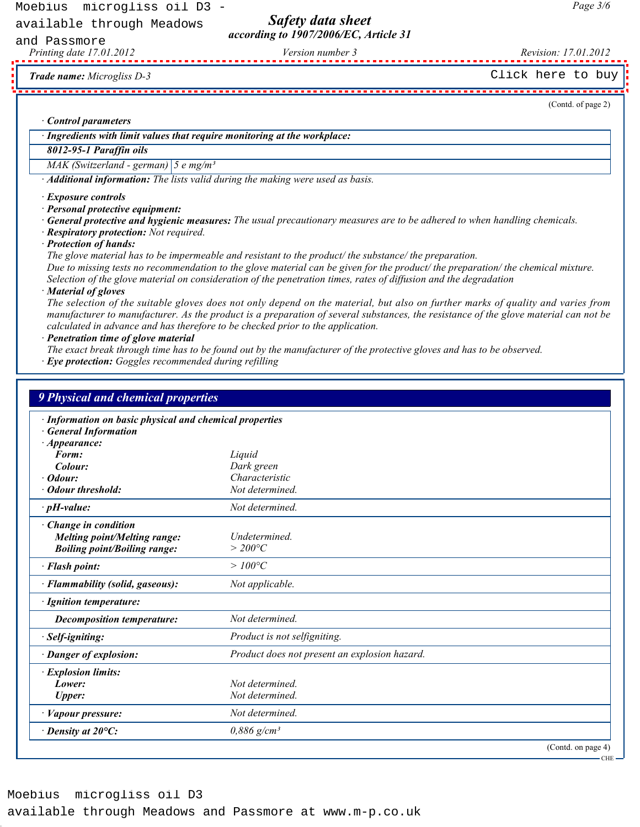Safety data sheet according to 1907/2006/EC, Article 31

Printing date 17.01.2012 Version number 3 Revision: 17.01.2012 and Passmore

Page 3/6

### · Control parameters

## 8012-95-1 Paraffin oils

### · Exposure controls

- · Respiratory protection: Not required.
- · Protection of hands:

#### · Material of gloves

| <b>Control parameters</b>                                                                                                                                                                                                                              |                                                                                                                                                                                                                                                                                                                                                                                                                                                                                                                                                                                                                                                                                                                                                                                                                                                                                                                                                                                   |
|--------------------------------------------------------------------------------------------------------------------------------------------------------------------------------------------------------------------------------------------------------|-----------------------------------------------------------------------------------------------------------------------------------------------------------------------------------------------------------------------------------------------------------------------------------------------------------------------------------------------------------------------------------------------------------------------------------------------------------------------------------------------------------------------------------------------------------------------------------------------------------------------------------------------------------------------------------------------------------------------------------------------------------------------------------------------------------------------------------------------------------------------------------------------------------------------------------------------------------------------------------|
| · Ingredients with limit values that require monitoring at the workplace:                                                                                                                                                                              |                                                                                                                                                                                                                                                                                                                                                                                                                                                                                                                                                                                                                                                                                                                                                                                                                                                                                                                                                                                   |
| 8012-95-1 Paraffin oils                                                                                                                                                                                                                                |                                                                                                                                                                                                                                                                                                                                                                                                                                                                                                                                                                                                                                                                                                                                                                                                                                                                                                                                                                                   |
| MAK (Switzerland - german) $\left 5 \text{ e mg/m}^3\right $                                                                                                                                                                                           |                                                                                                                                                                                                                                                                                                                                                                                                                                                                                                                                                                                                                                                                                                                                                                                                                                                                                                                                                                                   |
|                                                                                                                                                                                                                                                        | · Additional information: The lists valid during the making were used as basis.                                                                                                                                                                                                                                                                                                                                                                                                                                                                                                                                                                                                                                                                                                                                                                                                                                                                                                   |
| · Exposure controls<br>· Personal protective equipment:<br>· Respiratory protection: Not required.<br>· Protection of hands:<br>· Material of gloves<br>· Penetration time of glove material<br>· Eye protection: Goggles recommended during refilling | General protective and hygienic measures: The usual precautionary measures are to be adhered to when handling chemicals.<br>The glove material has to be impermeable and resistant to the product/ the substance/ the preparation.<br>Due to missing tests no recommendation to the glove material can be given for the product/the preparation/the chemical mixture.<br>Selection of the glove material on consideration of the penetration times, rates of diffusion and the degradation<br>The selection of the suitable gloves does not only depend on the material, but also on further marks of quality and varies from<br>manufacturer to manufacturer. As the product is a preparation of several substances, the resistance of the glove material can not be<br>calculated in advance and has therefore to be checked prior to the application.<br>The exact break through time has to be found out by the manufacturer of the protective gloves and has to be observed. |
| <b>9 Physical and chemical properties</b><br>· Information on basic physical and chemical properties                                                                                                                                                   |                                                                                                                                                                                                                                                                                                                                                                                                                                                                                                                                                                                                                                                                                                                                                                                                                                                                                                                                                                                   |
| <b>General Information</b><br>$\cdot$ Appearance:<br>Form:<br>Colour:<br>Odour:                                                                                                                                                                        | Liquid<br>Dark green<br>Characteristic                                                                                                                                                                                                                                                                                                                                                                                                                                                                                                                                                                                                                                                                                                                                                                                                                                                                                                                                            |
| <b>Odour threshold:</b>                                                                                                                                                                                                                                | Not determined.                                                                                                                                                                                                                                                                                                                                                                                                                                                                                                                                                                                                                                                                                                                                                                                                                                                                                                                                                                   |
| $\cdot$ pH-value:<br>Change in condition<br><b>Melting point/Melting range:</b><br><b>Boiling point/Boiling range:</b>                                                                                                                                 | Not determined.<br>Undetermined.<br>$>$ 200°C                                                                                                                                                                                                                                                                                                                                                                                                                                                                                                                                                                                                                                                                                                                                                                                                                                                                                                                                     |
| · Flash point:                                                                                                                                                                                                                                         | $>100^{\circ}C$                                                                                                                                                                                                                                                                                                                                                                                                                                                                                                                                                                                                                                                                                                                                                                                                                                                                                                                                                                   |
| Flammability (solid, gaseous):                                                                                                                                                                                                                         | Not applicable.                                                                                                                                                                                                                                                                                                                                                                                                                                                                                                                                                                                                                                                                                                                                                                                                                                                                                                                                                                   |
| <b>Ignition temperature:</b>                                                                                                                                                                                                                           |                                                                                                                                                                                                                                                                                                                                                                                                                                                                                                                                                                                                                                                                                                                                                                                                                                                                                                                                                                                   |
|                                                                                                                                                                                                                                                        | Not determined.                                                                                                                                                                                                                                                                                                                                                                                                                                                                                                                                                                                                                                                                                                                                                                                                                                                                                                                                                                   |
| <b>Decomposition temperature:</b>                                                                                                                                                                                                                      |                                                                                                                                                                                                                                                                                                                                                                                                                                                                                                                                                                                                                                                                                                                                                                                                                                                                                                                                                                                   |
| Self-igniting:                                                                                                                                                                                                                                         | Product is not selfigniting.                                                                                                                                                                                                                                                                                                                                                                                                                                                                                                                                                                                                                                                                                                                                                                                                                                                                                                                                                      |
| · Danger of explosion:                                                                                                                                                                                                                                 | Product does not present an explosion hazard.                                                                                                                                                                                                                                                                                                                                                                                                                                                                                                                                                                                                                                                                                                                                                                                                                                                                                                                                     |
| · Explosion limits:<br>Lower:                                                                                                                                                                                                                          | Not determined.                                                                                                                                                                                                                                                                                                                                                                                                                                                                                                                                                                                                                                                                                                                                                                                                                                                                                                                                                                   |
| <b>Upper:</b>                                                                                                                                                                                                                                          | Not determined.                                                                                                                                                                                                                                                                                                                                                                                                                                                                                                                                                                                                                                                                                                                                                                                                                                                                                                                                                                   |
| · Vapour pressure:                                                                                                                                                                                                                                     | Not determined.                                                                                                                                                                                                                                                                                                                                                                                                                                                                                                                                                                                                                                                                                                                                                                                                                                                                                                                                                                   |
| $\cdot$ Density at 20 $\mathrm{^{\circ}C:}$                                                                                                                                                                                                            | $0,886$ g/cm <sup>3</sup>                                                                                                                                                                                                                                                                                                                                                                                                                                                                                                                                                                                                                                                                                                                                                                                                                                                                                                                                                         |
|                                                                                                                                                                                                                                                        | (Contd. on page 4)                                                                                                                                                                                                                                                                                                                                                                                                                                                                                                                                                                                                                                                                                                                                                                                                                                                                                                                                                                |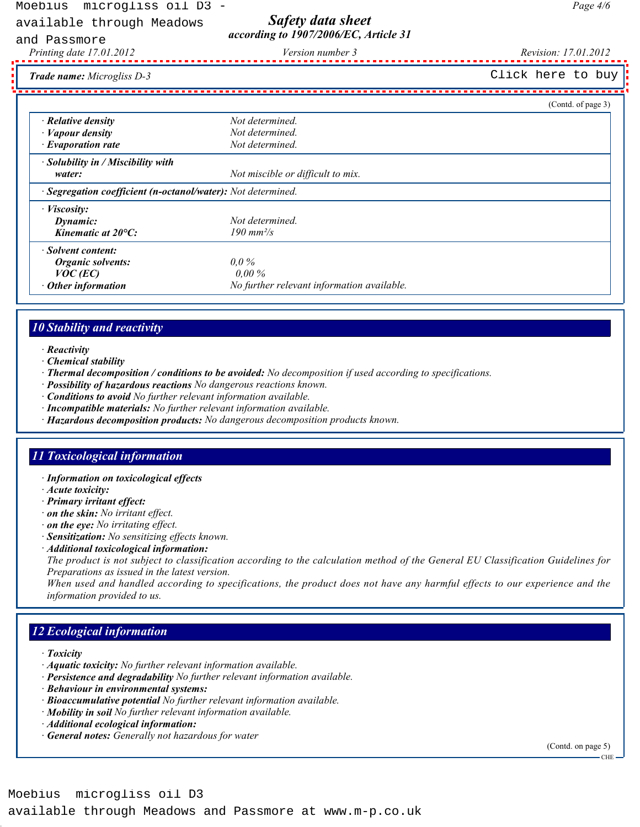# Safety data sheet according to 1907/2006/EC, Article 31

and Passmore

Page 4/6

Trade name: Microgliss D-3

(Contd. of page 3)  $\cdot$  **Relative density**  $\cdot$  **Not determined.** • **Vapour density** Not determined.<br>• **Evaporation rate** Not determined.  $\cdot$  Evaporation rate · Solubility in / Miscibility with water: water: Not miscible or difficult to mix. · Segregation coefficient (n-octanol/water): Not determined. · Viscosity: **Dynamic:** Not determined. **Kinematic at 20°C:**  $190 \text{ mm}^2/\text{s}$ · Solvent content: Organic solvents: 0,0 %  $VOC (EC)$  0,00 % Other information **Outlange 10** No further relevant information available. Franke the major  $\alpha$  is the controller of the computer of the computation of the computation of the computation of the computation of the computation of the computation of the computation of the computation of the comput

# 10 Stability and reactivity

- · Reactivity
- · Chemical stability
- · Thermal decomposition / conditions to be avoided: No decomposition if used according to specifications.
- · Possibility of hazardous reactions No dangerous reactions known.
- · Conditions to avoid No further relevant information available.
- · Incompatible materials: No further relevant information available.
- · Hazardous decomposition products: No dangerous decomposition products known.

## 11 Toxicological information

- · Information on toxicological effects
- · Acute toxicity:
- · Primary irritant effect:
- · on the skin: No irritant effect.
- · on the eye: No irritating effect.
- · Sensitization: No sensitizing effects known.
- · Additional toxicological information:

The product is not subject to classification according to the calculation method of the General EU Classification Guidelines for Preparations as issued in the latest version.

When used and handled according to specifications, the product does not have any harmful effects to our experience and the information provided to us.

# 12 Ecological information

- · Toxicity
- · Aquatic toxicity: No further relevant information available.
- · Persistence and degradability No further relevant information available.
- · Behaviour in environmental systems:
- · Bioaccumulative potential No further relevant information available.
- · Mobility in soil No further relevant information available.
- · Additional ecological information:
- · General notes: Generally not hazardous for water

(Contd. on page 5)

CHE

Printing date 17.01.2012 Version number 3 Revision: 17.01.2012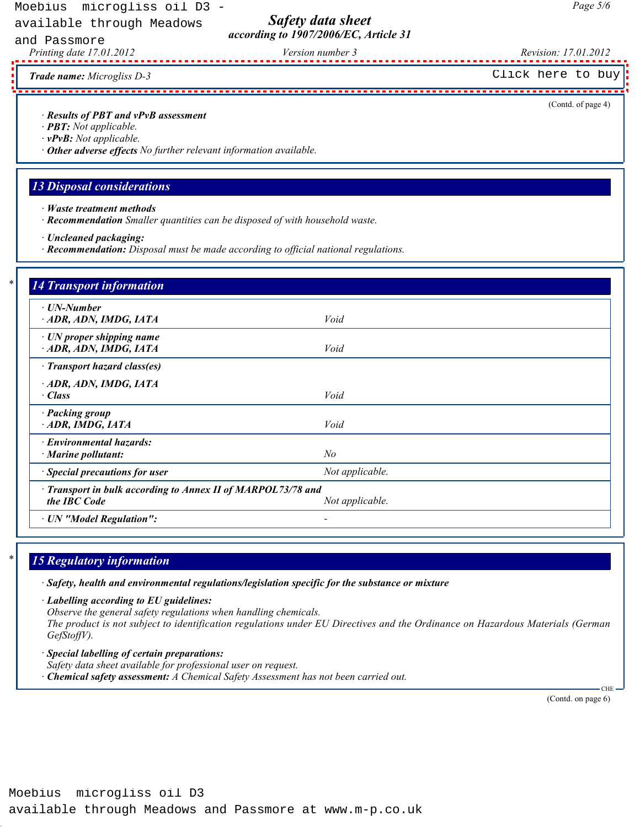Safety data sheet according to 1907/2006/EC, Article 31

Printing date 17.01.2012 Version number 3 Revision: 17.01.2012 and Passmore

- · PBT: Not applicable.
- · vPvB: Not applicable.
- · Other adverse effects No further relevant information available.

## 13 Disposal considerations

- · Waste treatment methods
- · Recommendation Smaller quantities can be disposed of with household waste.
- · Uncleaned packaging:
- · Recommendation: Disposal must be made according to official national regulations.

|                                                                                                                                                                               | Click here to buy                                                                                                             |
|-------------------------------------------------------------------------------------------------------------------------------------------------------------------------------|-------------------------------------------------------------------------------------------------------------------------------|
| · Results of PBT and vPvB assessment<br>· <b>PBT</b> : Not applicable.<br>$\cdot$ vPvB: Not applicable.<br>· Other adverse effects No further relevant information available. | (Contd. of page 4)                                                                                                            |
| <b>13 Disposal considerations</b>                                                                                                                                             |                                                                                                                               |
| $\cdot$ <i>Waste treatment methods</i><br>· Recommendation Smaller quantities can be disposed of with household waste.                                                        |                                                                                                                               |
| · Uncleaned packaging:<br>· Recommendation: Disposal must be made according to official national regulations.                                                                 |                                                                                                                               |
| <b>14 Transport information</b>                                                                                                                                               |                                                                                                                               |
| $\cdot$ UN-Number<br>· ADR, ADN, IMDG, IATA                                                                                                                                   | Void                                                                                                                          |
| · UN proper shipping name<br>ADR, ADN, IMDG, IATA                                                                                                                             | Void                                                                                                                          |
| · Transport hazard class(es)<br>ADR, ADN, IMDG, IATA<br>$\cdot$ Class                                                                                                         | Void                                                                                                                          |
| · Packing group<br>ADR, IMDG, IATA                                                                                                                                            | Void                                                                                                                          |
| · Environmental hazards:<br>· Marine pollutant:                                                                                                                               | N <sub>o</sub>                                                                                                                |
| Special precautions for user                                                                                                                                                  | Not applicable.                                                                                                               |
| Transport in bulk according to Annex II of MARPOL73/78 and<br>the IBC Code                                                                                                    | Not applicable.                                                                                                               |
| <b>UN</b> "Model Regulation":                                                                                                                                                 |                                                                                                                               |
| <b>15 Regulatory information</b>                                                                                                                                              |                                                                                                                               |
| · Safety, health and environmental regulations/legislation specific for the substance or mixture                                                                              |                                                                                                                               |
| · Labelling according to EU guidelines:<br>Observe the general safety regulations when handling chemicals.<br>$GefStoffV$ ).                                                  | The product is not subject to identification regulations under EU Directives and the Ordinance on Hazardous Materials (German |
| Special labelling of certain preparations:                                                                                                                                    |                                                                                                                               |
| Safety data sheet available for professional user on request.<br>Chemical safety assessment: A Chemical Safety Assessment has not been carried out.                           | $CHE -$                                                                                                                       |

# 15 Regulatory information

- · Special labelling of certain preparations:
- Safety data sheet available for professional user on request.
- $\cdot$  Chemical safety assessment: A Chemical Safety Assessment has not been carried out.